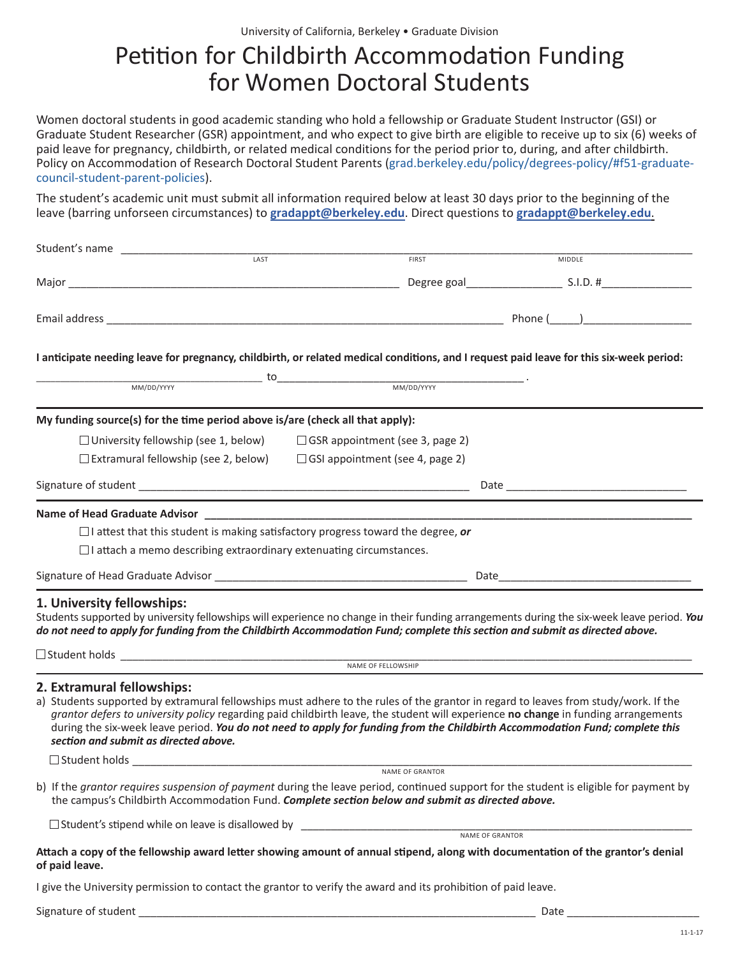## Petition for Childbirth Accommodation Funding for Women Doctoral Students

Women doctoral students in good academic standing who hold a fellowship or Graduate Student Instructor (GSI) or Graduate Student Researcher (GSR) appointment, and who expect to give birth are eligible to receive up to six (6) weeks of paid leave for pregnancy, childbirth, or related medical conditions for the period prior to, during, and after childbirth. Policy on Accommodation of Research Doctoral Student Parents ([grad.berkeley.edu/policy/degrees-policy/#f51-graduate](http://grad.berkeley.edu/policy/degrees-policy/#f51-graduate-council-student-parent-policies)[council-student-parent-policies\).](http://grad.berkeley.edu/policy/degrees-policy/#f51-graduate-council-student-parent-policies)

The student's academic unit must submit all information required below at least 30 days prior to the beginning of the leave (barring unforseen circumstances) to **[gradappt@berkeley.edu](mailto:mailto:gradappt%40berkeley.edu?subject=)**. Direct questions to **[gradappt@berkeley.edu](mailto:mailto:gradappt%40berkeley.edu?subject=)**.

| Student's name<br>LAST                                                                                                                                                                                                                                                                                                                                                                                                                                                           |                                                                                                                                     |               |
|----------------------------------------------------------------------------------------------------------------------------------------------------------------------------------------------------------------------------------------------------------------------------------------------------------------------------------------------------------------------------------------------------------------------------------------------------------------------------------|-------------------------------------------------------------------------------------------------------------------------------------|---------------|
|                                                                                                                                                                                                                                                                                                                                                                                                                                                                                  | <b>FIRST</b>                                                                                                                        | <b>MIDDLE</b> |
|                                                                                                                                                                                                                                                                                                                                                                                                                                                                                  |                                                                                                                                     |               |
|                                                                                                                                                                                                                                                                                                                                                                                                                                                                                  |                                                                                                                                     |               |
|                                                                                                                                                                                                                                                                                                                                                                                                                                                                                  |                                                                                                                                     |               |
| I anticipate needing leave for pregnancy, childbirth, or related medical conditions, and I request paid leave for this six-week period:                                                                                                                                                                                                                                                                                                                                          |                                                                                                                                     |               |
|                                                                                                                                                                                                                                                                                                                                                                                                                                                                                  | $\underbrace{\hspace{1cm}}_{\text{MM/DD/YYYY}} \hspace{1.5cm} \underbrace{\hspace{1.5cm}}_{\text{MM/DD/YYYY}} \hspace{1.5cm} \cdot$ |               |
| My funding source(s) for the time period above is/are (check all that apply):                                                                                                                                                                                                                                                                                                                                                                                                    |                                                                                                                                     |               |
| $\Box$ University fellowship (see 1, below)                                                                                                                                                                                                                                                                                                                                                                                                                                      | $\Box$ GSR appointment (see 3, page 2)                                                                                              |               |
| $\Box$ Extramural fellowship (see 2, below)                                                                                                                                                                                                                                                                                                                                                                                                                                      | $\Box$ GSI appointment (see 4, page 2)                                                                                              |               |
|                                                                                                                                                                                                                                                                                                                                                                                                                                                                                  |                                                                                                                                     |               |
|                                                                                                                                                                                                                                                                                                                                                                                                                                                                                  |                                                                                                                                     |               |
| Name of Head Graduate Advisor <b>Accepted Access 2018</b> Name of Base of Access 2018 Name of Head Graduate Advisor                                                                                                                                                                                                                                                                                                                                                              |                                                                                                                                     |               |
| $\Box$ I attest that this student is making satisfactory progress toward the degree, or                                                                                                                                                                                                                                                                                                                                                                                          |                                                                                                                                     |               |
| $\Box$ I attach a memo describing extraordinary extenuating circumstances.                                                                                                                                                                                                                                                                                                                                                                                                       |                                                                                                                                     |               |
|                                                                                                                                                                                                                                                                                                                                                                                                                                                                                  |                                                                                                                                     |               |
| 1. University fellowships:<br>Students supported by university fellowships will experience no change in their funding arrangements during the six-week leave period. You<br>do not need to apply for funding from the Childbirth Accommodation Fund; complete this section and submit as directed above.                                                                                                                                                                         |                                                                                                                                     |               |
|                                                                                                                                                                                                                                                                                                                                                                                                                                                                                  |                                                                                                                                     |               |
|                                                                                                                                                                                                                                                                                                                                                                                                                                                                                  | NAME OF FELLOWSHIP                                                                                                                  |               |
| 2. Extramural fellowships:<br>a) Students supported by extramural fellowships must adhere to the rules of the grantor in regard to leaves from study/work. If the<br>grantor defers to university policy regarding paid childbirth leave, the student will experience no change in funding arrangements<br>during the six-week leave period. You do not need to apply for funding from the Childbirth Accommodation Fund; complete this<br>section and submit as directed above. |                                                                                                                                     |               |
|                                                                                                                                                                                                                                                                                                                                                                                                                                                                                  |                                                                                                                                     |               |
| b) If the grantor requires suspension of payment during the leave period, continued support for the student is eligible for payment by                                                                                                                                                                                                                                                                                                                                           | NAME OF GRANTOR                                                                                                                     |               |
| the campus's Childbirth Accommodation Fund. Complete section below and submit as directed above.                                                                                                                                                                                                                                                                                                                                                                                 |                                                                                                                                     |               |
|                                                                                                                                                                                                                                                                                                                                                                                                                                                                                  |                                                                                                                                     |               |
| Attach a copy of the fellowship award letter showing amount of annual stipend, along with documentation of the grantor's denial<br>of paid leave.                                                                                                                                                                                                                                                                                                                                |                                                                                                                                     |               |
| I give the University permission to contact the grantor to verify the award and its prohibition of paid leave.                                                                                                                                                                                                                                                                                                                                                                   |                                                                                                                                     |               |
| Signature of student                                                                                                                                                                                                                                                                                                                                                                                                                                                             |                                                                                                                                     | Date          |

11-1-17